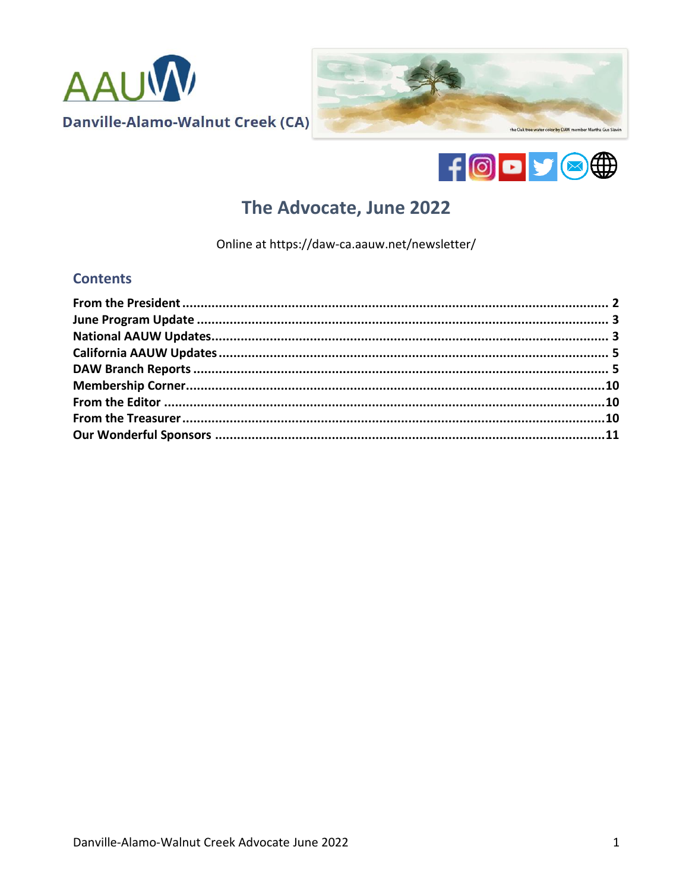





# The Advocate, June 2022

Online at https://daw-ca.aauw.net/newsletter/

# **Contents**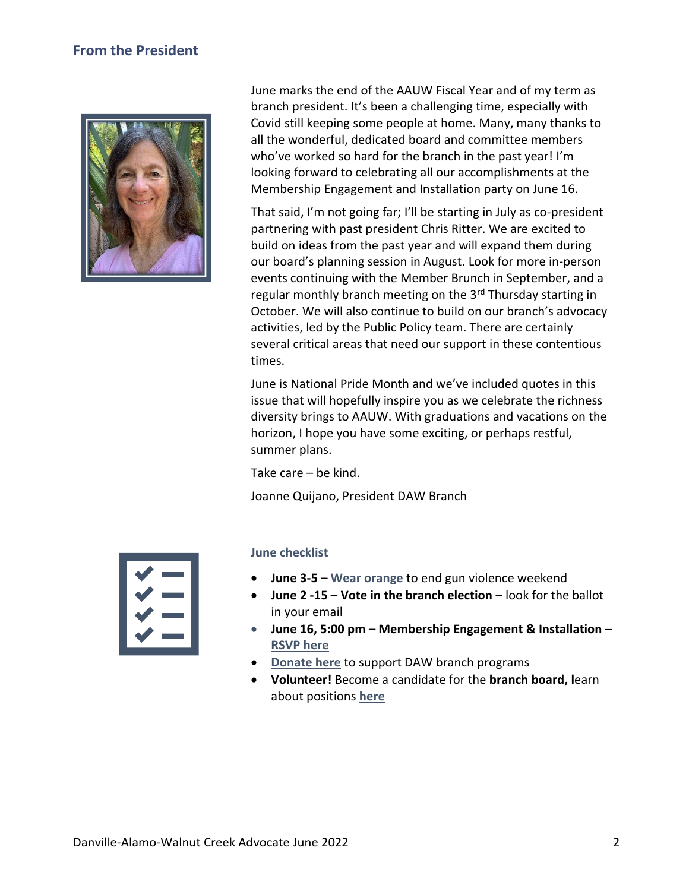<span id="page-1-0"></span>

June marks the end of the AAUW Fiscal Year and of my term as branch president. It's been a challenging time, especially with Covid still keeping some people at home. Many, many thanks to all the wonderful, dedicated board and committee members who've worked so hard for the branch in the past year! I'm looking forward to celebrating all our accomplishments at the Membership Engagement and Installation party on June 16.

That said, I'm not going far; I'll be starting in July as co-president partnering with past president Chris Ritter. We are excited to build on ideas from the past year and will expand them during our board's planning session in August. Look for more in-person events continuing with the Member Brunch in September, and a regular monthly branch meeting on the 3<sup>rd</sup> Thursday starting in October. We will also continue to build on our branch's advocacy activities, led by the Public Policy team. There are certainly several critical areas that need our support in these contentious times.

June is National Pride Month and we've included quotes in this issue that will hopefully inspire you as we celebrate the richness diversity brings to AAUW. With graduations and vacations on the horizon, I hope you have some exciting, or perhaps restful, summer plans.

Take care – be kind.

Joanne Quijano, President DAW Branch



#### **June checklist**

- **June 3-5 – [Wear orange](https://wearorange.org/)** to end gun violence weekend
- **June 2 -15 – Vote in the branch election** look for the ballot in your email
- **June 16, 5:00 pm – Membership Engagement & Installation [RSVP here](https://www.eventbrite.com/e/membership-engagement-executive-board-installation-party-tickets-336838431817)**
- **[Donate here](https://daw-ca.aauw.net/donate/)** to support DAW branch programs
- **Volunteer!** Become a candidate for the **branch board, l**earn about positions **[here](https://daw-ca.aauw.net/volunteers-needed/)**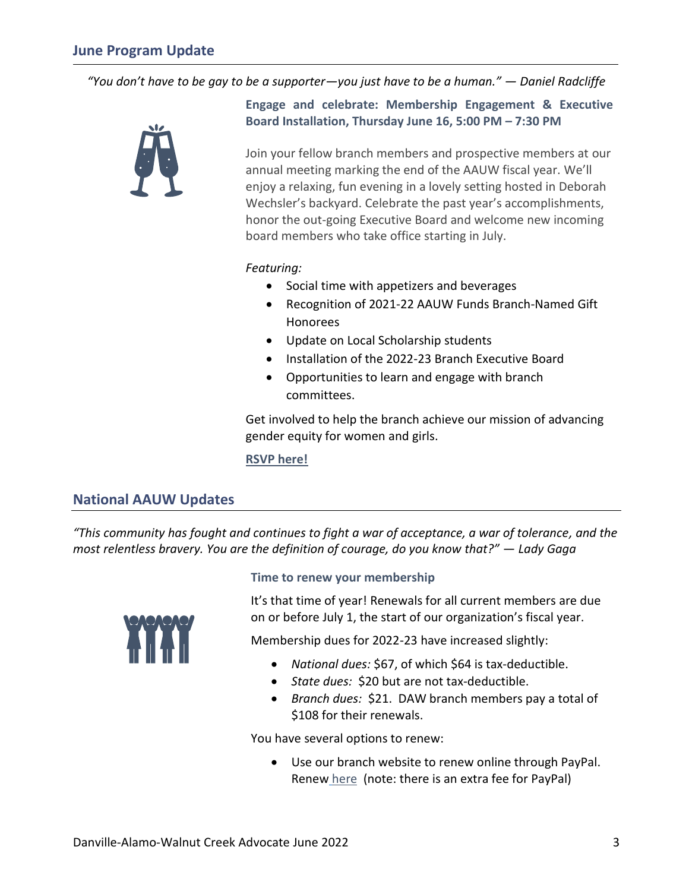<span id="page-2-0"></span>*"You don't have to be gay to be a supporter—you just have to be a human." — Daniel Radcliffe*



**Engage and celebrate: Membership Engagement & Executive Board Installation, Thursday June 16, 5:00 PM – 7:30 PM**

Join your fellow branch members and prospective members at our annual meeting marking the end of the AAUW fiscal year. We'll enjoy a relaxing, fun evening in a lovely setting hosted in Deborah Wechsler's backyard. Celebrate the past year's accomplishments, honor the out-going Executive Board and welcome new incoming board members who take office starting in July.

#### *Featuring:*

- Social time with appetizers and beverages
- Recognition of 2021-22 AAUW Funds Branch-Named Gift Honorees
- Update on Local Scholarship students
- Installation of the 2022-23 Branch Executive Board
- Opportunities to learn and engage with branch committees.

Get involved to help the branch achieve our mission of advancing gender equity for women and girls.

**RSVP [here!](https://www.eventbrite.com/e/membership-engagement-executive-board-installation-party-tickets-336838431817)**

# <span id="page-2-1"></span>**National AAUW Updates**

*"This community has fought and continues to fight a war of acceptance, a war of tolerance, and the most relentless bravery. You are the definition of courage, do you know that?" — Lady Gaga*



#### **Time to renew your membership**

It's that time of year! Renewals for all current members are due on or before July 1, the start of our organization's fiscal year.

Membership dues for 2022-23 have increased slightly:

- *National dues:* \$67, of which \$64 is tax-deductible.
- *State dues:* \$20 but are not tax-deductible.
- *Branch dues:* \$21. DAW branch members pay a total of \$108 for their renewals.

You have several options to renew:

• Use our branch website to renew online through PayPal. [Renew](https://daw-ca.aauw.net/membership-payment/) here (note: there is an extra fee for PayPal)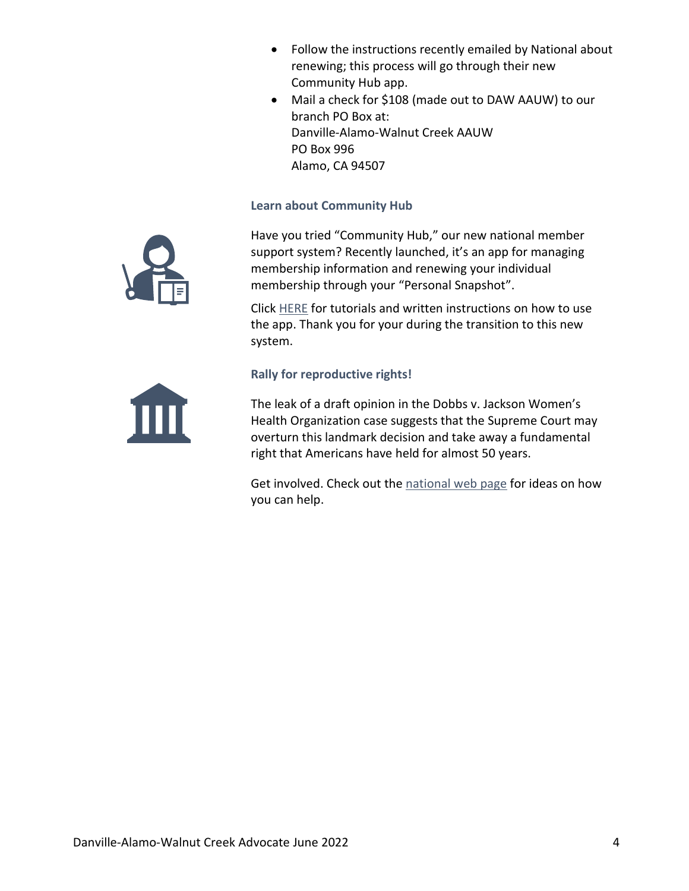- Follow the instructions recently emailed by National about renewing; this process will go through their new Community Hub app.
- Mail a check for \$108 (made out to DAW AAUW) to our branch PO Box at: Danville-Alamo-Walnut Creek AAUW PO Box 996 Alamo, CA 94507

### **Learn about Community Hub**

Have you tried "Community Hub," our new national member support system? Recently launched, it's an app for managing membership information and renewing your individual membership through your "Personal Snapshot".

Click [HERE](https://www.aauw.org/membership/new-systems-update/) for tutorials and written instructions on how to use the app. Thank you for your during the transition to this new system.

# **Rally for reproductive rights!**

The leak of a draft opinion in the Dobbs v. Jackson Women's Health Organization case suggests that the Supreme Court may overturn this landmark decision and take away a fundamental right that Americans have held for almost 50 years.

Get involved. Check out the [national web page](https://www.aauw.org/resources/policy/rallying-for-repro-rights/?emci=a4d05994-52cd-ec11-997e-281878b83d8a&emdi=eda5941a-58cd-ec11-997e-281878b83d8a&ceid=951770) for ideas on how you can help.



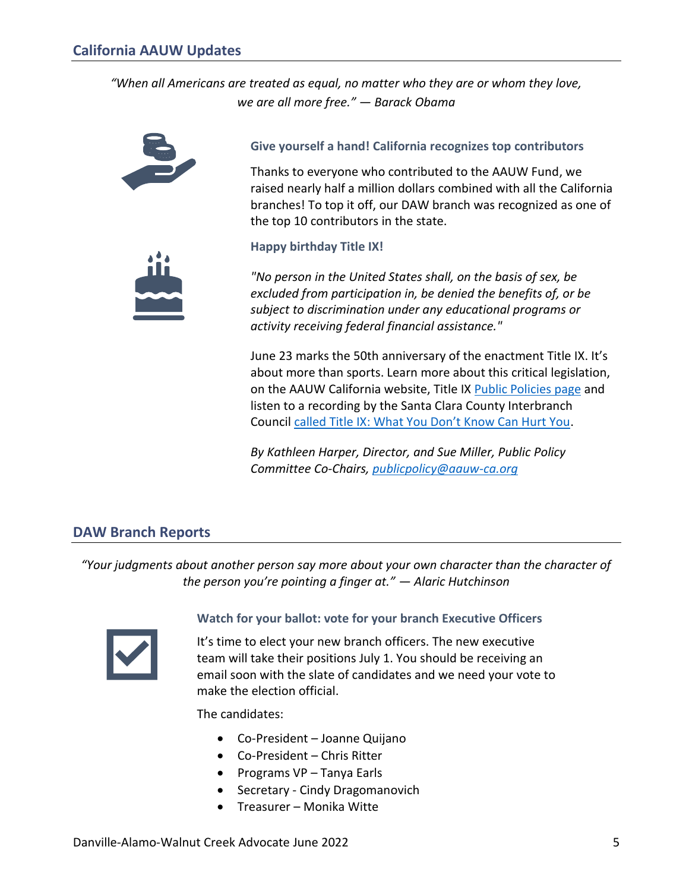<span id="page-4-0"></span>*"When all Americans are treated as equal, no matter who they are or whom they love, we are all more free." — Barack Obama*



**Give yourself a hand! California recognizes top contributors**

Thanks to everyone who contributed to the AAUW Fund, we raised nearly half a million dollars combined with all the California branches! To top it off, our DAW branch was recognized as one of the top 10 contributors in the state.



**Happy birthday Title IX!**

*"No person in the United States shall, on the basis of sex, be excluded from participation in, be denied the benefits of, or be subject to discrimination under any educational programs or activity receiving federal financial assistance."*

June 23 marks the 50th anniversary of the enactment Title IX. It's about more than sports. Learn more about this critical legislation, on the AAUW California website, Title IX [Public Policies page](https://www.aauw-ca.org/category/public-policy/title-ix/) and listen to a recording by the Santa Clara County Interbranch Council [called Title IX: What You Don't Know Can Hurt You](https://www.aauw-ca.org/category/public-policy/title-ix/).

*By Kathleen Harper, Director, and Sue Miller, Public Policy Committee Co-Chairs, [publicpolicy@aauw-ca.org](mailto:publicpolicy@aauw-ca.org)*

# <span id="page-4-1"></span>**DAW Branch Reports**

*"Your judgments about another person say more about your own character than the character of the person you're pointing a finger at." — Alaric Hutchinson*



# **Watch for your ballot: vote for your branch Executive Officers**

It's time to elect your new branch officers. The new executive team will take their positions July 1. You should be receiving an email soon with the slate of candidates and we need your vote to make the election official.

The candidates:

- Co-President Joanne Quijano
- Co-President Chris Ritter
- Programs VP Tanya Earls
- Secretary Cindy Dragomanovich
- Treasurer Monika Witte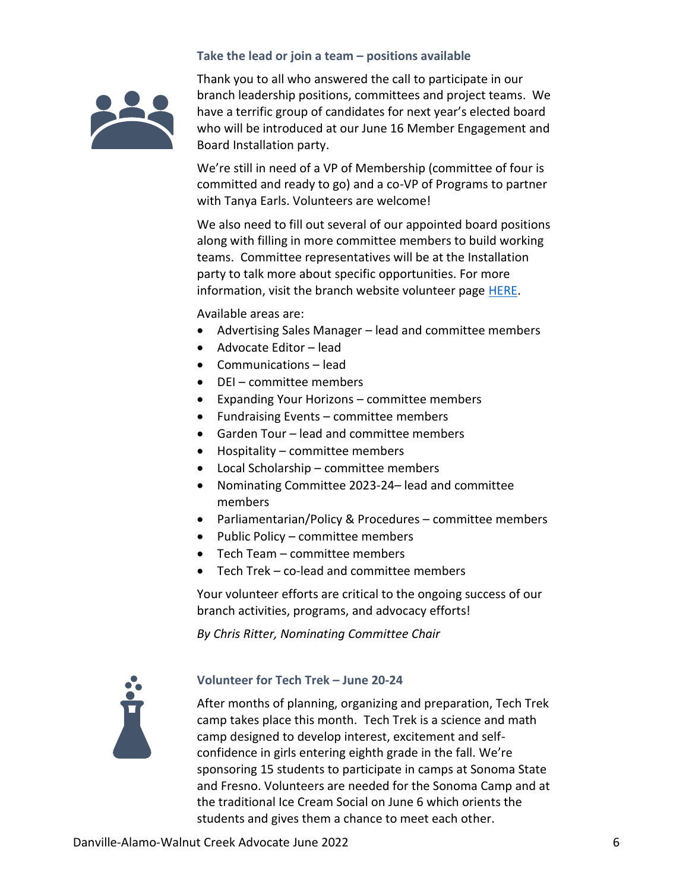#### **Take the lead or join a team – positions available**



Thank you to all who answered the call to participate in our branch leadership positions, committees and project teams. We have a terrific group of candidates for next year's elected board who will be introduced at our June 16 Member Engagement and Board Installation party.

We're still in need of a VP of Membership (committee of four is committed and ready to go) and a co-VP of Programs to partner with Tanya Earls. Volunteers are welcome!

We also need to fill out several of our appointed board positions along with filling in more committee members to build working teams. Committee representatives will be at the Installation party to talk more about specific opportunities. For more information, visit the branch website volunteer page [HERE.](https://daw-ca.aauw.net/volunteers-needed/)

Available areas are:

- Advertising Sales Manager lead and committee members
- Advocate Editor lead
- Communications lead
- DEI committee members
- Expanding Your Horizons committee members
- Fundraising Events committee members
- Garden Tour lead and committee members
- Hospitality committee members
- Local Scholarship committee members
- Nominating Committee 2023-24– lead and committee members
- Parliamentarian/Policy & Procedures committee members
- Public Policy committee members
- Tech Team committee members
- Tech Trek co-lead and committee members

Your volunteer efforts are critical to the ongoing success of our branch activities, programs, and advocacy efforts!

*By Chris Ritter, Nominating Committee Chair*



#### **Volunteer for Tech Trek – June 20-24**

After months of planning, organizing and preparation, Tech Trek camp takes place this month. Tech Trek is a science and math camp designed to develop interest, excitement and selfconfidence in girls entering eighth grade in the fall. We're sponsoring 15 students to participate in camps at Sonoma State and Fresno. Volunteers are needed for the Sonoma Camp and at the traditional Ice Cream Social on June 6 which orients the students and gives them a chance to meet each other.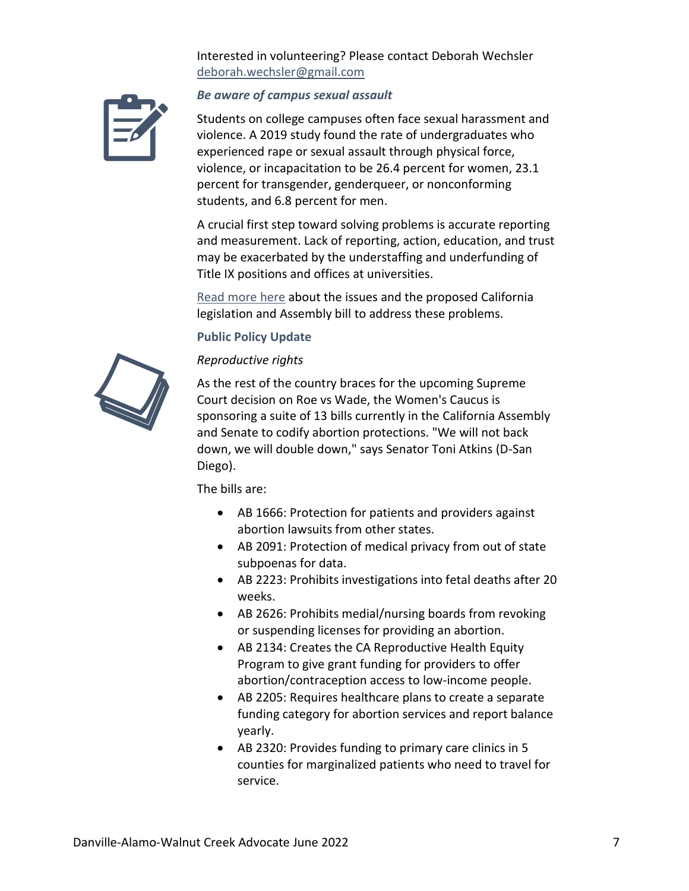Interested in volunteering? Please contact Deborah Wechsler [deborah.wechsler@gmail.com](mailto:deborah.wechsler@gmail.com) 



#### *Be aware of campus sexual assault*

Students on college campuses often face sexual harassment and violence. A 2019 study found the rate of undergraduates who experienced rape or sexual assault through physical force, violence, or incapacitation to be 26.4 percent for women, 23.1 percent for transgender, genderqueer, or nonconforming students, and 6.8 percent for men.

A crucial first step toward solving problems is accurate reporting and measurement. Lack of reporting, action, education, and trust may be exacerbated by the understaffing and underfunding of Title IX positions and offices at universities.

[Read more here](https://daw-ca.aauw.net/advocacy/public-policy-update/) about the issues and the proposed California legislation and Assembly bill to address these problems.

#### **Public Policy Update**



#### *Reproductive rights*

As the rest of the country braces for the upcoming Supreme Court decision on Roe vs Wade, the Women's Caucus is sponsoring a suite of 13 bills currently in the California Assembly and Senate to codify abortion protections. "We will not back down, we will double down," says Senator Toni Atkins (D-San Diego).

The bills are:

- AB 1666: Protection for patients and providers against abortion lawsuits from other states.
- AB 2091: Protection of medical privacy from out of state subpoenas for data.
- AB 2223: Prohibits investigations into fetal deaths after 20 weeks.
- AB 2626: Prohibits medial/nursing boards from revoking or suspending licenses for providing an abortion.
- AB 2134: Creates the CA Reproductive Health Equity Program to give grant funding for providers to offer abortion/contraception access to low-income people.
- AB 2205: Requires healthcare plans to create a separate funding category for abortion services and report balance yearly.
- AB 2320: Provides funding to primary care clinics in 5 counties for marginalized patients who need to travel for service.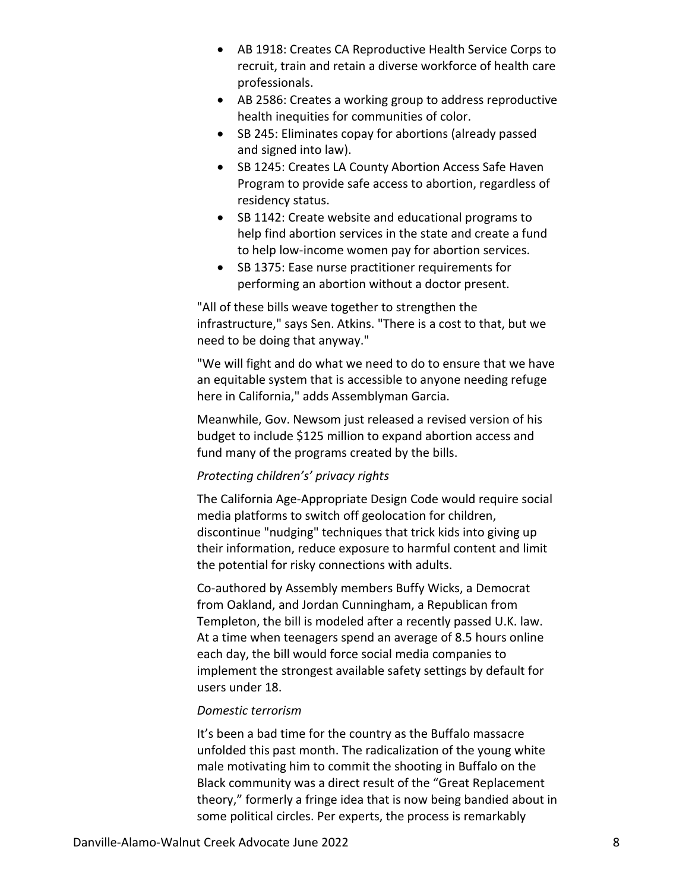- AB 1918: Creates CA Reproductive Health Service Corps to recruit, train and retain a diverse workforce of health care professionals.
- AB 2586: Creates a working group to address reproductive health inequities for communities of color.
- SB 245: Eliminates copay for abortions (already passed and signed into law).
- SB 1245: Creates LA County Abortion Access Safe Haven Program to provide safe access to abortion, regardless of residency status.
- SB 1142: Create website and educational programs to help find abortion services in the state and create a fund to help low-income women pay for abortion services.
- SB 1375: Ease nurse practitioner requirements for performing an abortion without a doctor present.

"All of these bills weave together to strengthen the infrastructure," says Sen. Atkins. "There is a cost to that, but we need to be doing that anyway."

"We will fight and do what we need to do to ensure that we have an equitable system that is accessible to anyone needing refuge here in California," adds Assemblyman Garcia.

Meanwhile, Gov. Newsom just released a revised version of his budget to include \$125 million to expand abortion access and fund many of the programs created by the bills.

# *Protecting children's' privacy rights*

The California Age-Appropriate Design Code would require social media platforms to switch off geolocation for children, discontinue "nudging" techniques that trick kids into giving up their information, reduce exposure to harmful content and limit the potential for risky connections with adults.

Co-authored by Assembly members Buffy Wicks, a Democrat from Oakland, and Jordan Cunningham, a Republican from Templeton, the bill is modeled after a recently passed U.K. law. At a time when teenagers spend an average of 8.5 hours online each day, the bill would force social media companies to implement the strongest available safety settings by default for users under 18.

#### *Domestic terrorism*

It's been a bad time for the country as the Buffalo massacre unfolded this past month. The radicalization of the young white male motivating him to commit the shooting in Buffalo on the Black community was a direct result of the "Great Replacement theory," formerly a fringe idea that is now being bandied about in some political circles. Per experts, the process is remarkably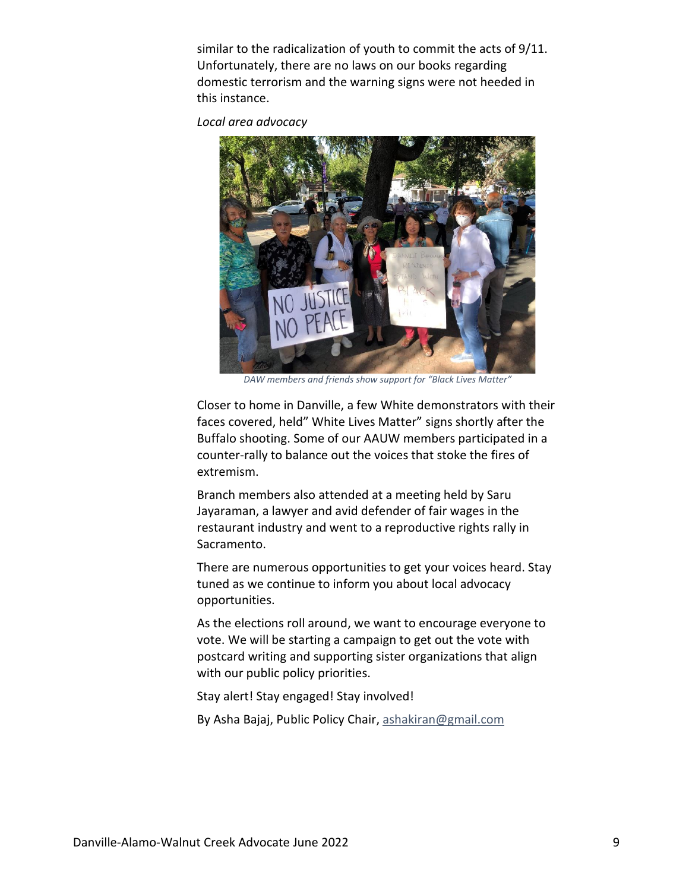similar to the radicalization of youth to commit the acts of 9/11. Unfortunately, there are no laws on our books regarding domestic terrorism and the warning signs were not heeded in this instance.

*Local area advocacy*



*DAW members and friends show support for "Black Lives Matter"*

Closer to home in Danville, a few White demonstrators with their faces covered, held" White Lives Matter" signs shortly after the Buffalo shooting. Some of our AAUW members participated in a counter-rally to balance out the voices that stoke the fires of extremism.

Branch members also attended at a meeting held by Saru Jayaraman, a lawyer and avid defender of fair wages in the restaurant industry and went to a reproductive rights rally in Sacramento.

There are numerous opportunities to get your voices heard. Stay tuned as we continue to inform you about local advocacy opportunities.

As the elections roll around, we want to encourage everyone to vote. We will be starting a campaign to get out the vote with postcard writing and supporting sister organizations that align with our public policy priorities.

Stay alert! Stay engaged! Stay involved!

By Asha Bajaj, Public Policy Chair, [ashakiran@gmail.com](mailto:ashakiran@gmail.com)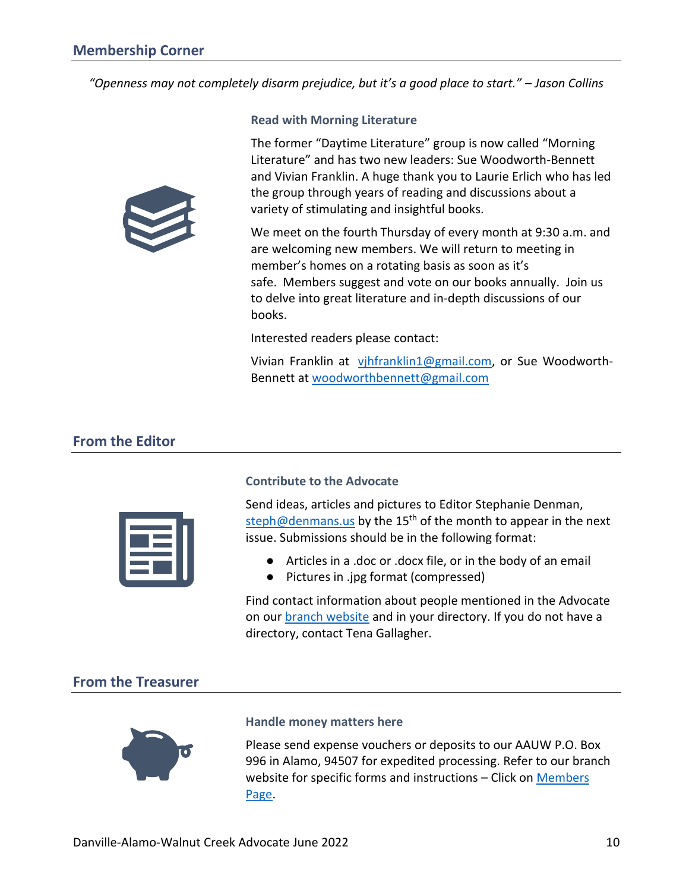<span id="page-9-0"></span>*"Openness may not completely disarm prejudice, but it's a good place to start." – Jason Collins*



#### **Read with Morning Literature**

The former "Daytime Literature" group is now called "Morning Literature" and has two new leaders: Sue Woodworth-Bennett and Vivian Franklin. A huge thank you to Laurie Erlich who has led the group through years of reading and discussions about a variety of stimulating and insightful books.

We meet on the fourth Thursday of every month at 9:30 a.m. and are welcoming new members. We will return to meeting in member's homes on a rotating basis as soon as it's safe. Members suggest and vote on our books annually. Join us to delve into great literature and in-depth discussions of our books.

Interested readers please contact:

Vivian Franklin at [vjhfranklin1@gmail.com,](mailto:vjhfranklin1@gmail.com) or Sue Woodworth-Bennett at [woodworthbennett@gmail.com](mailto:woodworthbennett@gmail.com)

# <span id="page-9-1"></span>**From the Editor**



#### **Contribute to the Advocate**

Send ideas, articles and pictures to Editor Stephanie Denman, [steph@denmans.us](mailto:steph@denmans.us) by the  $15<sup>th</sup>$  of the month to appear in the next issue. Submissions should be in the following format:

- Articles in a .doc or .docx file, or in the body of an email
- Pictures in .jpg format (compressed)

Find contact information about people mentioned in the Advocate on our [branch website](https://daw-ca.aauw.net/) and in your directory. If you do not have a directory, contact Tena Gallagher.

# <span id="page-9-2"></span>**From the Treasurer**



#### **Handle money matters here**

Please send expense vouchers or deposits to our AAUW P.O. Box 996 in Alamo, 94507 for expedited processing. Refer to our branch website for specific forms and instructions – Click on [Members](https://daw-ca.aauw.net/members/members-only/)  [Page.](https://daw-ca.aauw.net/members/members-only/)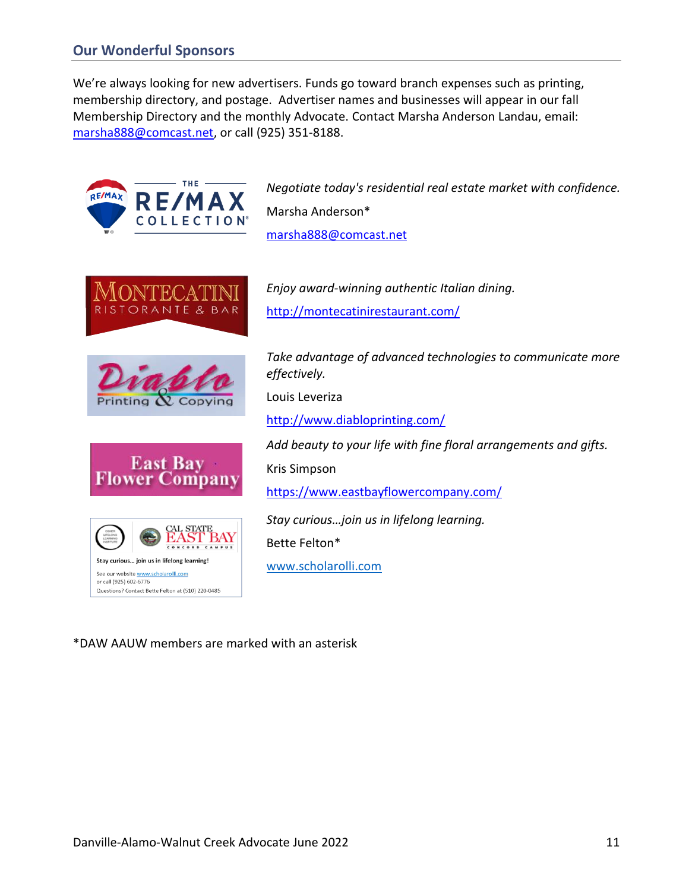# <span id="page-10-0"></span>**Our Wonderful Sponsors**

We're always looking for new advertisers. Funds go toward branch expenses such as printing, membership directory, and postage. Advertiser names and businesses will appear in our fall Membership Directory and the monthly Advocate. Contact Marsha Anderson Landau, email: [marsha888@comcast.net,](mailto:marsha888@comcast.net) or call (925) 351-8188.



# \*DAW AAUW members are marked with an asterisk